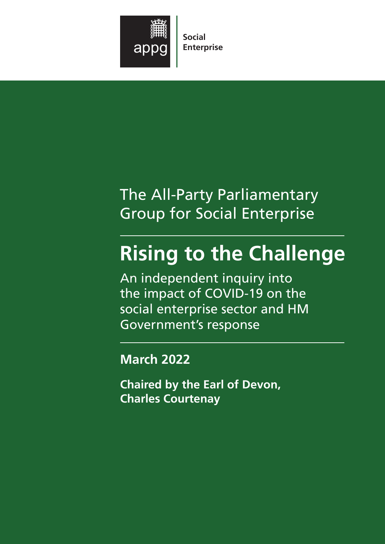

Social Enterprise

# The All-Party Parliamentary Group for Social Enterprise

# Rising to the Challenge

An independent inquiry into the impact of COVID-19 on the social enterprise sector and HM Government's response

March 2022

Chaired by the Earl of Devon, Charles Courtenay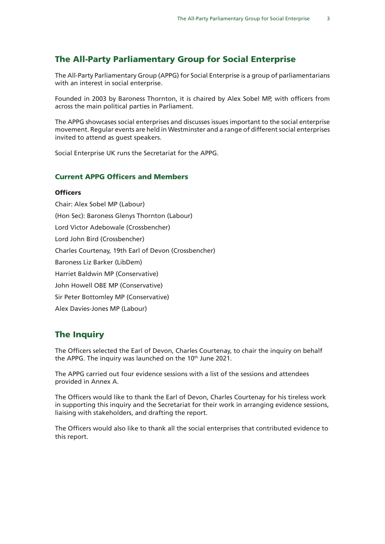#### The All-Party Parliamentary Group for Social Enterprise

The All-Party Parliamentary Group (APPG) for Social Enterprise is a group of parliamentarians with an interest in social enterprise.

Founded in 2003 by Baroness Thornton, it is chaired by Alex Sobel MP, with officers from across the main political parties in Parliament.

The APPG showcases social enterprises and discusses issues important to the social enterprise movement. Regular events are held in Westminster and a range of different social enterprises invited to attend as guest speakers.

Social Enterprise UK runs the Secretariat for the APPG.

#### Current APPG Officers and Members

#### **Officers**

Chair: Alex Sobel MP (Labour) (Hon Sec): Baroness Glenys Thornton (Labour) Lord Victor Adebowale (Crossbencher) Lord John Bird (Crossbencher) Charles Courtenay, 19th Earl of Devon (Crossbencher) Baroness Liz Barker (LibDem) Harriet Baldwin MP (Conservative) John Howell OBE MP (Conservative) Sir Peter Bottomley MP (Conservative) Alex Davies-Jones MP (Labour)

#### The Inquiry

The Officers selected the Earl of Devon, Charles Courtenay, to chair the inquiry on behalf the APPG. The inquiry was launched on the 10<sup>th</sup> June 2021.

The APPG carried out four evidence sessions with a list of the sessions and attendees provided in Annex A.

The Officers would like to thank the Earl of Devon, Charles Courtenay for his tireless work in supporting this inquiry and the Secretariat for their work in arranging evidence sessions, liaising with stakeholders, and drafting the report.

The Officers would also like to thank all the social enterprises that contributed evidence to this report.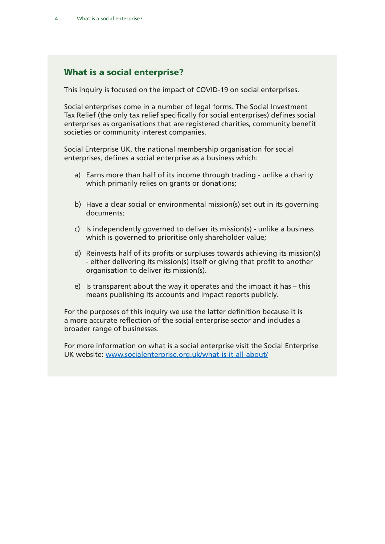#### What is a social enterprise?

This inquiry is focused on the impact of COVID-19 on social enterprises.

Social enterprises come in a number of legal forms. The Social Investment Tax Relief (the only tax relief specifically for social enterprises) defines social enterprises as organisations that are registered charities, community benefit societies or community interest companies.

Social Enterprise UK, the national membership organisation for social enterprises, defines a social enterprise as a business which:

- a) Earns more than half of its income through trading unlike a charity which primarily relies on grants or donations;
- b) Have a clear social or environmental mission(s) set out in its governing documents;
- c) Is independently governed to deliver its mission(s) unlike a business which is governed to prioritise only shareholder value;
- d) Reinvests half of its profits or surpluses towards achieving its mission(s) - either delivering its mission(s) itself or giving that profit to another organisation to deliver its mission(s).
- e) Is transparent about the way it operates and the impact it has this means publishing its accounts and impact reports publicly.

For the purposes of this inquiry we use the latter definition because it is a more accurate reflection of the social enterprise sector and includes a broader range of businesses.

For more information on what is a social enterprise visit the Social Enterprise UK website: [www.socialenterprise.org.uk/what-is-it-all-about/](http://www.socialenterprise.org.uk/what-is-it-all-about/)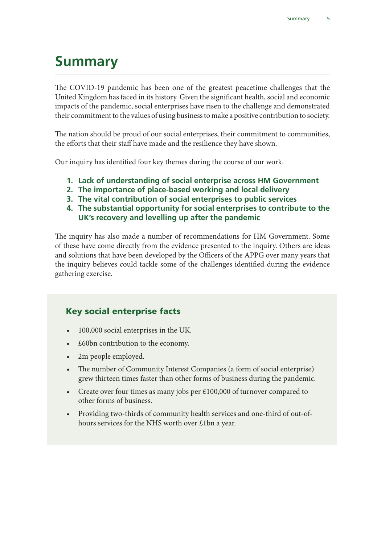# Summary

The COVID-19 pandemic has been one of the greatest peacetime challenges that the United Kingdom has faced in its history. Given the significant health, social and economic impacts of the pandemic, social enterprises have risen to the challenge and demonstrated their commitment to the values of using business to make a positive contribution to society.

The nation should be proud of our social enterprises, their commitment to communities, the efforts that their staff have made and the resilience they have shown.

Our inquiry has identified four key themes during the course of our work.

- 1. Lack of understanding of social enterprise across HM Government
- 2. The importance of place-based working and local delivery
- 3. The vital contribution of social enterprises to public services
- 4. The substantial opportunity for social enterprises to contribute to the UK's recovery and levelling up after the pandemic

The inquiry has also made a number of recommendations for HM Government. Some of these have come directly from the evidence presented to the inquiry. Others are ideas and solutions that have been developed by the Officers of the APPG over many years that the inquiry believes could tackle some of the challenges identified during the evidence gathering exercise.

### Key social enterprise facts

- 100,000 social enterprises in the UK.
- £60bn contribution to the economy.
- 2m people employed.
- The number of Community Interest Companies (a form of social enterprise) grew thirteen times faster than other forms of business during the pandemic.
- Create over four times as many jobs per  $£100,000$  of turnover compared to other forms of business.
- Providing two-thirds of community health services and one-third of out-ofhours services for the NHS worth over £1bn a year.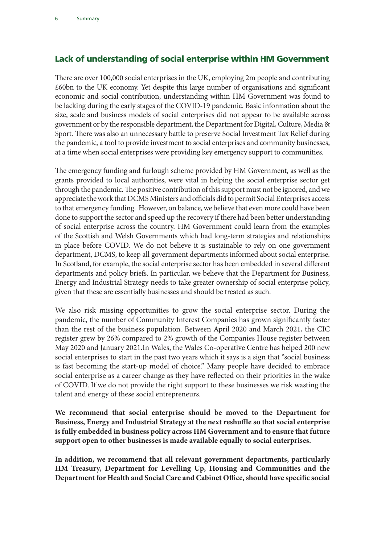#### Lack of understanding of social enterprise within HM Government

There are over 100,000 social enterprises in the UK, employing 2m people and contributing £60bn to the UK economy. Yet despite this large number of organisations and significant economic and social contribution, understanding within HM Government was found to be lacking during the early stages of the COVID-19 pandemic. Basic information about the size, scale and business models of social enterprises did not appear to be available across government or by the responsible department, the Department for Digital, Culture, Media & Sport. There was also an unnecessary battle to preserve Social Investment Tax Relief during the pandemic, a tool to provide investment to social enterprises and community businesses, at a time when social enterprises were providing key emergency support to communities.

The emergency funding and furlough scheme provided by HM Government, as well as the grants provided to local authorities, were vital in helping the social enterprise sector get through the pandemic. The positive contribution of this support must not be ignored, and we appreciate the work that DCMS Ministers and officials did to permit Social Enterprises access to that emergency funding. However, on balance, we believe that even more could have been done to support the sector and speed up the recovery if there had been better understanding of social enterprise across the country. HM Government could learn from the examples of the Scottish and Welsh Governments which had long-term strategies and relationships in place before COVID. We do not believe it is sustainable to rely on one government department, DCMS, to keep all government departments informed about social enterprise. In Scotland, for example, the social enterprise sector has been embedded in several different departments and policy briefs. In particular, we believe that the Department for Business, Energy and Industrial Strategy needs to take greater ownership of social enterprise policy, given that these are essentially businesses and should be treated as such.

We also risk missing opportunities to grow the social enterprise sector. During the pandemic, the number of Community Interest Companies has grown significantly faster than the rest of the business population. Between April 2020 and March 2021, the CIC register grew by 26% compared to 2% growth of the Companies House register between May 2020 and January 2021.In Wales, the Wales Co-operative Centre has helped 200 new social enterprises to start in the past two years which it says is a sign that "social business is fast becoming the start-up model of choice." Many people have decided to embrace social enterprise as a career change as they have reflected on their priorities in the wake of COVID. If we do not provide the right support to these businesses we risk wasting the talent and energy of these social entrepreneurs.

**We recommend that social enterprise should be moved to the Department for Business, Energy and Industrial Strategy at the next reshuffle so that social enterprise is fully embedded in business policy across HM Government and to ensure that future support open to other businesses is made available equally to social enterprises.**

**In addition, we recommend that all relevant government departments, particularly HM Treasury, Department for Levelling Up, Housing and Communities and the Department for Health and Social Care and Cabinet Office, should have specific social**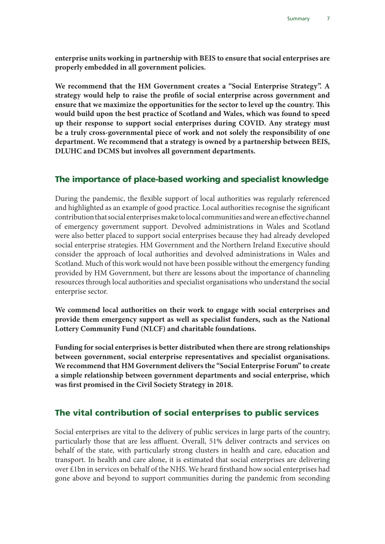**enterprise units working in partnership with BEIS to ensure that social enterprises are properly embedded in all government policies.** 

**We recommend that the HM Government creates a "Social Enterprise Strategy". A strategy would help to raise the profile of social enterprise across government and ensure that we maximize the opportunities for the sector to level up the country. This would build upon the best practice of Scotland and Wales, which was found to speed up their response to support social enterprises during COVID. Any strategy must be a truly cross-governmental piece of work and not solely the responsibility of one department. We recommend that a strategy is owned by a partnership between BEIS, DLUHC and DCMS but involves all government departments.** 

#### The importance of place-based working and specialist knowledge

During the pandemic, the flexible support of local authorities was regularly referenced and highlighted as an example of good practice. Local authorities recognise the significant contribution that social enterprises make to local communities and were an effective channel of emergency government support. Devolved administrations in Wales and Scotland were also better placed to support social enterprises because they had already developed social enterprise strategies. HM Government and the Northern Ireland Executive should consider the approach of local authorities and devolved administrations in Wales and Scotland. Much of this work would not have been possible without the emergency funding provided by HM Government, but there are lessons about the importance of channeling resources through local authorities and specialist organisations who understand the social enterprise sector.

**We commend local authorities on their work to engage with social enterprises and provide them emergency support as well as specialist funders, such as the National Lottery Community Fund (NLCF) and charitable foundations.** 

**Funding for social enterprises is better distributed when there are strong relationships between government, social enterprise representatives and specialist organisations. We recommend that HM Government delivers the "Social Enterprise Forum" to create a simple relationship between government departments and social enterprise, which was first promised in the Civil Society Strategy in 2018.** 

#### The vital contribution of social enterprises to public services

Social enterprises are vital to the delivery of public services in large parts of the country, particularly those that are less affluent. Overall, 51% deliver contracts and services on behalf of the state, with particularly strong clusters in health and care, education and transport. In health and care alone, it is estimated that social enterprises are delivering over £1bn in services on behalf of the NHS. We heard firsthand how social enterprises had gone above and beyond to support communities during the pandemic from seconding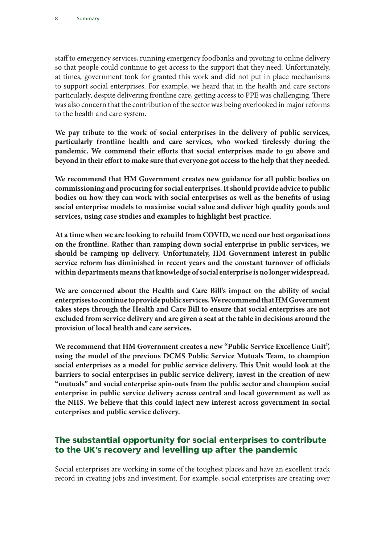staff to emergency services, running emergency foodbanks and pivoting to online delivery so that people could continue to get access to the support that they need. Unfortunately, at times, government took for granted this work and did not put in place mechanisms to support social enterprises. For example, we heard that in the health and care sectors particularly, despite delivering frontline care, getting access to PPE was challenging. There was also concern that the contribution of the sector was being overlooked in major reforms to the health and care system.

**We pay tribute to the work of social enterprises in the delivery of public services, particularly frontline health and care services, who worked tirelessly during the pandemic. We commend their efforts that social enterprises made to go above and beyond in their effort to make sure that everyone got access to the help that they needed.** 

**We recommend that HM Government creates new guidance for all public bodies on commissioning and procuring for social enterprises. It should provide advice to public bodies on how they can work with social enterprises as well as the benefits of using social enterprise models to maximise social value and deliver high quality goods and services, using case studies and examples to highlight best practice.**

**At a time when we are looking to rebuild from COVID, we need our best organisations on the frontline. Rather than ramping down social enterprise in public services, we should be ramping up delivery. Unfortunately, HM Government interest in public service reform has diminished in recent years and the constant turnover of officials within departments means that knowledge of social enterprise is no longer widespread.** 

**We are concerned about the Health and Care Bill's impact on the ability of social enterprises to continue to provide public services. We recommend that HM Government takes steps through the Health and Care Bill to ensure that social enterprises are not excluded from service delivery and are given a seat at the table in decisions around the provision of local health and care services.** 

**We recommend that HM Government creates a new "Public Service Excellence Unit", using the model of the previous DCMS Public Service Mutuals Team, to champion social enterprises as a model for public service delivery. This Unit would look at the barriers to social enterprises in public service delivery, invest in the creation of new "mutuals" and social enterprise spin-outs from the public sector and champion social enterprise in public service delivery across central and local government as well as the NHS. We believe that this could inject new interest across government in social enterprises and public service delivery.** 

### The substantial opportunity for social enterprises to contribute to the UK's recovery and levelling up after the pandemic

Social enterprises are working in some of the toughest places and have an excellent track record in creating jobs and investment. For example, social enterprises are creating over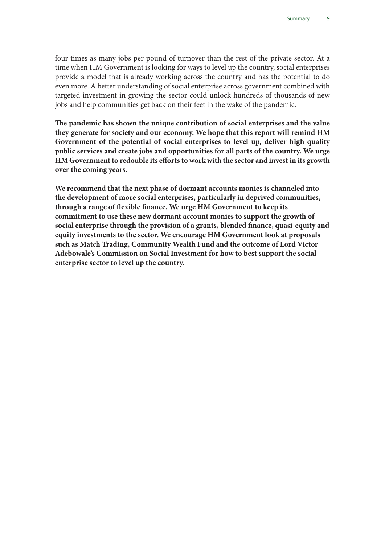four times as many jobs per pound of turnover than the rest of the private sector. At a time when HM Government is looking for ways to level up the country, social enterprises provide a model that is already working across the country and has the potential to do even more. A better understanding of social enterprise across government combined with targeted investment in growing the sector could unlock hundreds of thousands of new jobs and help communities get back on their feet in the wake of the pandemic.

**The pandemic has shown the unique contribution of social enterprises and the value they generate for society and our economy. We hope that this report will remind HM Government of the potential of social enterprises to level up, deliver high quality public services and create jobs and opportunities for all parts of the country. We urge HM Government to redouble its efforts to work with the sector and invest in its growth over the coming years.** 

**We recommend that the next phase of dormant accounts monies is channeled into the development of more social enterprises, particularly in deprived communities, through a range of flexible finance. We urge HM Government to keep its commitment to use these new dormant account monies to support the growth of social enterprise through the provision of a grants, blended finance, quasi-equity and equity investments to the sector. We encourage HM Government look at proposals such as Match Trading, Community Wealth Fund and the outcome of Lord Victor Adebowale's Commission on Social Investment for how to best support the social enterprise sector to level up the country.**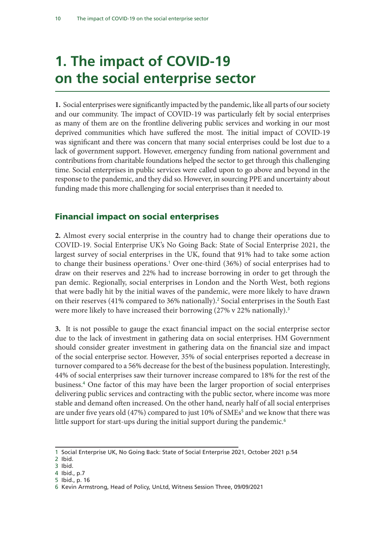### 1. The impact of COVID-19 on the social enterprise sector

**1.** Social enterprises were significantly impacted by the pandemic, like all parts of our society and our community. The impact of COVID-19 was particularly felt by social enterprises as many of them are on the frontline delivering public services and working in our most deprived communities which have suffered the most. The initial impact of COVID-19 was significant and there was concern that many social enterprises could be lost due to a lack of government support. However, emergency funding from national government and contributions from charitable foundations helped the sector to get through this challenging time. Social enterprises in public services were called upon to go above and beyond in the response to the pandemic, and they did so. However, in sourcing PPE and uncertainty about funding made this more challenging for social enterprises than it needed to.

#### Financial impact on social enterprises

**2.** Almost every social enterprise in the country had to change their operations due to COVID-19. Social Enterprise UK's No Going Back: State of Social Enterprise 2021, the largest survey of social enterprises in the UK, found that 91% had to take some action to change their business operations.<sup>1</sup> Over one-third (36%) of social enterprises had to draw on their reserves and 22% had to increase borrowing in order to get through the pan demic. Regionally, social enterprises in London and the North West, both regions that were badly hit by the initial waves of the pandemic, were more likely to have drawn on their reserves (41% compared to 36% nationally).<sup>2</sup> Social enterprises in the South East were more likely to have increased their borrowing (27% v 22% nationally).<sup>3</sup>

**3.** It is not possible to gauge the exact financial impact on the social enterprise sector due to the lack of investment in gathering data on social enterprises. HM Government should consider greater investment in gathering data on the financial size and impact of the social enterprise sector. However, 35% of social enterprises reported a decrease in turnover compared to a 56% decrease for the best of the business population. Interestingly, 44% of social enterprises saw their turnover increase compared to 18% for the rest of the business.<sup>4</sup> One factor of this may have been the larger proportion of social enterprises delivering public services and contracting with the public sector, where income was more stable and demand often increased. On the other hand, nearly half of all social enterprises are under five years old (47%) compared to just 10% of SMEs<sup>5</sup> and we know that there was little support for start-ups during the initial support during the pandemic.<sup>6</sup>

<sup>1</sup> Social Enterprise UK, No Going Back: State of Social Enterprise 2021, October 2021 p.54

<sup>2</sup> Ibid.

<sup>3</sup> Ibid.

<sup>4</sup> Ibid., p.7 5 Ibid., p. 16

<sup>6</sup> Kevin Armstrong, Head of Policy, UnLtd, Witness Session Three, 09/09/2021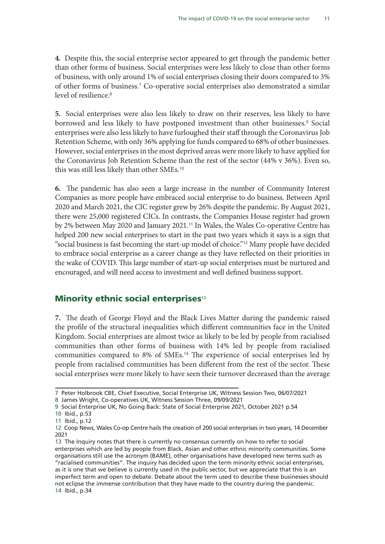**4.** Despite this, the social enterprise sector appeared to get through the pandemic better than other forms of business. Social enterprises were less likely to close than other forms of business, with only around 1% of social enterprises closing their doors compared to 3% of other forms of business.<sup>7</sup> Co-operative social enterprises also demonstrated a similar level of resilience.<sup>8</sup>

**5.** Social enterprises were also less likely to draw on their reserves, less likely to have borrowed and less likely to have postponed investment than other businesses.<sup>9</sup> Social enterprises were also less likely to have furloughed their staff through the Coronavirus Job Retention Scheme, with only 36% applying for funds compared to 68% of other businesses. However, social enterprises in the most deprived areas were more likely to have applied for the Coronavirus Job Retention Scheme than the rest of the sector (44% v 36%). Even so, this was still less likely than other SMEs.<sup>10</sup>

**6.** The pandemic has also seen a large increase in the number of Community Interest Companies as more people have embraced social enterprise to do business. Between April 2020 and March 2021, the CIC register grew by 26% despite the pandemic. By August 2021, there were 25,000 registered CICs. In contrasts, the Companies House register had grown by 2% between May 2020 and January 2021.<sup>11</sup> In Wales, the Wales Co-operative Centre has helped 200 new social enterprises to start in the past two years which it says is a sign that "social business is fast becoming the start-up model of choice."12 Many people have decided to embrace social enterprise as a career change as they have reflected on their priorities in the wake of COVID. This large number of start-up social enterprises must be nurtured and encouraged, and will need access to investment and well defined business support.

#### Minority ethnic social enterprises $13$

**7.** The death of George Floyd and the Black Lives Matter during the pandemic raised the profile of the structural inequalities which different communities face in the United Kingdom. Social enterprises are almost twice as likely to be led by people from racialised communities than other forms of business with 14% led by people from racialised communities compared to 8% of SMEs.<sup>14</sup> The experience of social enterprises led by people from racialised communities has been different from the rest of the sector. These social enterprises were more likely to have seen their turnover decreased than the average

<sup>7</sup> Peter Holbrook CBE, Chief Executive, Social Enterprise UK, Witness Session Two, 06/07/2021

<sup>8</sup> James Wright, Co-operatives UK, Witness Session Three, 09/09/2021

<sup>9</sup> Social Enterprise UK, No Going Back: State of Social Enterprise 2021, October 2021 p.54

<sup>10</sup> Ibid., p.53 11 Ibid., p.12

<sup>12</sup> Coop News, Wales Co-op Centre hails the creation of 200 social enterprises in two years, 14 December 2021

<sup>13</sup> The Inquiry notes that there is currently no consensus currently on how to refer to social enterprises which are led by people from Black, Asian and other ethnic minority communities. Some organisations still use the acronym (BAME), other organisations have developed new terms such as "racialised communities". The inquiry has decided upon the term minority ethnic social enterprises, as it is one that we believe is currently used in the public sector, but we appreciate that this is an imperfect term and open to debate. Debate about the term used to describe these businesses should not eclipse the immense contribution that they have made to the country during the pandemic. 14 Ibid., p.34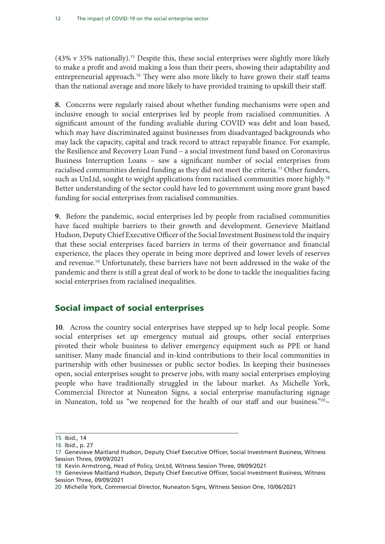(43% v 35% nationally).15 Despite this, these social enterprises were slightly more likely to make a profit and avoid making a loss than their peers, showing their adaptability and entrepreneurial approach.<sup>16</sup> They were also more likely to have grown their staff teams than the national average and more likely to have provided training to upskill their staff.

**8.** Concerns were regularly raised about whether funding mechanisms were open and inclusive enough to social enterprises led by people from racialised communities. A significant amount of the funding avaliable during COVID was debt and loan based, which may have discriminated against businesses from disadvantaged backgrounds who may lack the capacity, capital and track record to attract repayable finance. For example, the Resilience and Recovery Loan Fund – a social investment fund based on Coronavirus Business Interruption Loans – saw a significant number of social enterprises from racialised communities denied funding as they did not meet the criteria.17 Other funders, such as UnLtd, sought to weight applications from racialised communities more highly.<sup>18</sup> Better understanding of the sector could have led to government using more grant based funding for social enterprises from racialised communities.

**9.** Before the pandemic, social enterprises led by people from racialised communities have faced multiple barriers to their growth and development. Genevieve Maitland Hudson, Deputy Chief Executive Officer of the Social Investment Business told the inquiry that these social enterprises faced barriers in terms of their governance and financial experience, the places they operate in being more deprived and lower levels of reserves and revenue.19 Unfortunately, these barriers have not been addressed in the wake of the pandemic and there is still a great deal of work to be done to tackle the inequalities facing social enterprises from racialised inequalities.

### Social impact of social enterprises

**10**. Across the country social enterprises have stepped up to help local people. Some social enterprises set up emergency mutual aid groups, other social enterprises pivoted their whole business to deliver emergency equipment such as PPE or hand sanitiser. Many made financial and in-kind contributions to their local communities in partnership with other businesses or public sector bodies. In keeping their businesses open, social enterprises sought to preserve jobs, with many social enterprises employing people who have traditionally struggled in the labour market. As Michelle York, Commercial Director at Nuneaton Signs, a social enterprise manufacturing signage in Nuneaton, told us "we reopened for the health of our staff and our business."<sup>20</sup>~

<sup>15</sup> Ibid., 14

<sup>16</sup> Ibid., p. 27

<sup>17</sup> Genevieve Maitland Hudson, Deputy Chief Executive Officer, Social Investment Business, Witness Session Three, 09/09/2021

<sup>18</sup> Kevin Armstrong, Head of Policy, UnLtd, Witness Session Three, 09/09/2021

<sup>19</sup> Genevieve Maitland Hudson, Deputy Chief Executive Officer, Social Investment Business, Witness Session Three, 09/09/2021

<sup>20</sup> Michelle York, Commercial Director, Nuneaton Signs, Witness Session One, 10/06/2021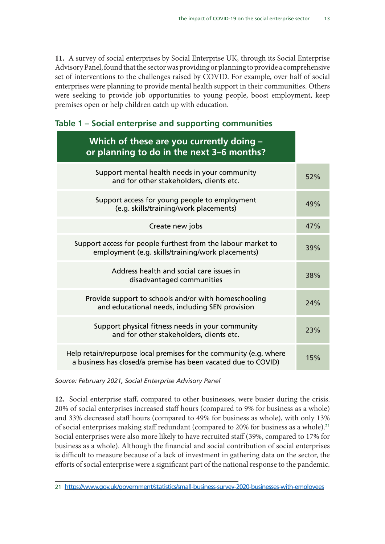**11.** A survey of social enterprises by Social Enterprise UK, through its Social Enterprise Advisory Panel, found that the sector was providing or planning to provide a comprehensive set of interventions to the challenges raised by COVID. For example, over half of social enterprises were planning to provide mental health support in their communities. Others were seeking to provide job opportunities to young people, boost employment, keep premises open or help children catch up with education.

| Table 1 - Social enterprise and supporting communities |  |  |  |  |  |  |
|--------------------------------------------------------|--|--|--|--|--|--|
|--------------------------------------------------------|--|--|--|--|--|--|

| Which of these are you currently doing -<br>or planning to do in the next 3-6 months?                                                |     |
|--------------------------------------------------------------------------------------------------------------------------------------|-----|
| Support mental health needs in your community<br>and for other stakeholders, clients etc.                                            | 52% |
| Support access for young people to employment<br>(e.g. skills/training/work placements)                                              | 49% |
| Create new jobs                                                                                                                      | 47% |
| Support access for people furthest from the labour market to<br>employment (e.g. skills/training/work placements)                    | 39% |
| Address health and social care issues in<br>disadvantaged communities                                                                | 38% |
| Provide support to schools and/or with homeschooling<br>and educational needs, including SEN provision                               | 24% |
| Support physical fitness needs in your community<br>and for other stakeholders, clients etc.                                         | 23% |
| Help retain/repurpose local premises for the community (e.g. where<br>a business has closed/a premise has been vacated due to COVID) | 15% |

Source: February 2021, Social Enterprise Advisory Panel

**12.** Social enterprise staff, compared to other businesses, were busier during the crisis. 20% of social enterprises increased staff hours (compared to 9% for business as a whole) and 33% decreased staff hours (compared to 49% for business as whole), with only 13% of social enterprises making staff redundant (compared to 20% for business as a whole).<sup>21</sup> Social enterprises were also more likely to have recruited staff (39%, compared to 17% for business as a whole). Although the financial and social contribution of social enterprises is difficult to measure because of a lack of investment in gathering data on the sector, the efforts of social enterprise were a significant part of the national response to the pandemic.

<sup>21</sup> <https://www.gov.uk/government/statistics/small-business-survey-2020-businesses-with-employees>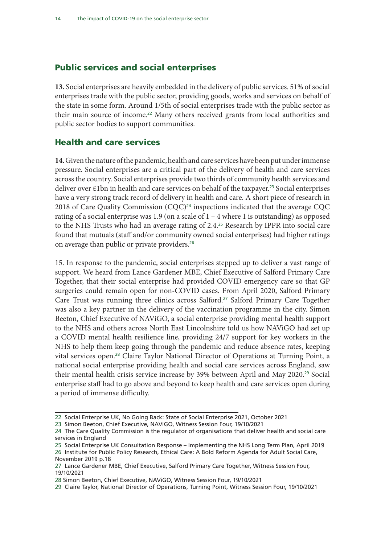#### Public services and social enterprises

**13.** Social enterprises are heavily embedded in the delivery of public services. 51% of social enterprises trade with the public sector, providing goods, works and services on behalf of the state in some form. Around 1/5th of social enterprises trade with the public sector as their main source of income.<sup>22</sup> Many others received grants from local authorities and public sector bodies to support communities.

#### Health and care services

**14.** Given the nature of the pandemic, health and care services have been put under immense pressure. Social enterprises are a critical part of the delivery of health and care services across the country. Social enterprises provide two thirds of community health services and deliver over  $£1$ bn in health and care services on behalf of the taxpayer.<sup>23</sup> Social enterprises have a very strong track record of delivery in health and care. A short piece of research in 2018 of Care Quality Commission (CQC)<sup>24</sup> inspections indicated that the average CQC rating of a social enterprise was 1.9 (on a scale of  $1 - 4$  where 1 is outstanding) as opposed to the NHS Trusts who had an average rating of 2.4.25 Research by IPPR into social care found that mutuals (staff and/or community owned social enterprises) had higher ratings on average than public or private providers.<sup>26</sup>

15. In response to the pandemic, social enterprises stepped up to deliver a vast range of support. We heard from Lance Gardener MBE, Chief Executive of Salford Primary Care Together, that their social enterprise had provided COVID emergency care so that GP surgeries could remain open for non-COVID cases. From April 2020, Salford Primary Care Trust was running three clinics across Salford.27 Salford Primary Care Together was also a key partner in the delivery of the vaccination programme in the city. Simon Beeton, Chief Executive of NAViGO, a social enterprise providing mental health support to the NHS and others across North East Lincolnshire told us how NAViGO had set up a COVID mental health resilience line, providing 24/7 support for key workers in the NHS to help them keep going through the pandemic and reduce absence rates, keeping vital services open.28 Claire Taylor National Director of Operations at Turning Point, a national social enterprise providing health and social care services across England, saw their mental health crisis service increase by 39% between April and May 2020.29 Social enterprise staff had to go above and beyond to keep health and care services open during a period of immense difficulty.

<sup>22</sup> Social Enterprise UK, No Going Back: State of Social Enterprise 2021, October 2021

<sup>23</sup> Simon Beeton, Chief Executive, NAViGO, Witness Session Four, 19/10/2021

<sup>24</sup> The Care Quality Commission is the regulator of organisations that deliver health and social care services in England

<sup>25</sup> Social Enterprise UK Consultation Response – Implementing the NHS Long Term Plan, April 2019 26 Institute for Public Policy Research, Ethical Care: A Bold Reform Agenda for Adult Social Care, November 2019 p.18

<sup>27</sup> Lance Gardener MBE, Chief Executive, Salford Primary Care Together, Witness Session Four, 19/10/2021

<sup>28</sup> Simon Beeton, Chief Executive, NAViGO, Witness Session Four, 19/10/2021

<sup>29</sup> Claire Taylor, National Director of Operations, Turning Point, Witness Session Four, 19/10/2021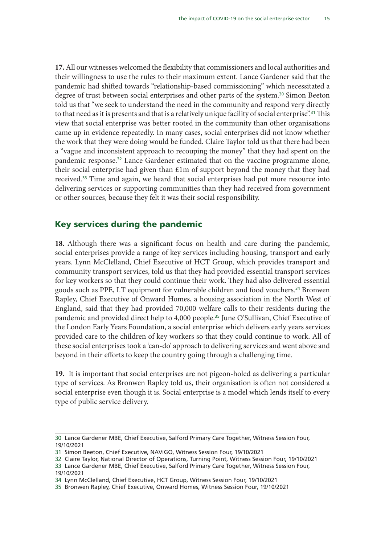**17.** All our witnesses welcomed the flexibility that commissioners and local authorities and their willingness to use the rules to their maximum extent. Lance Gardener said that the pandemic had shifted towards "relationship-based commissioning" which necessitated a degree of trust between social enterprises and other parts of the system.<sup>30</sup> Simon Beeton told us that "we seek to understand the need in the community and respond very directly to that need as it is presents and that is a relatively unique facility of social enterprise".<sup>31</sup> This view that social enterprise was better rooted in the community than other organisations came up in evidence repeatedly. In many cases, social enterprises did not know whether the work that they were doing would be funded. Claire Taylor told us that there had been a "vague and inconsistent approach to recouping the money" that they had spent on the pandemic response.32 Lance Gardener estimated that on the vaccine programme alone, their social enterprise had given than £1m of support beyond the money that they had received.<sup>33</sup> Time and again, we heard that social enterprises had put more resource into delivering services or supporting communities than they had received from government or other sources, because they felt it was their social responsibility.

#### Key services during the pandemic

**18.** Although there was a significant focus on health and care during the pandemic, social enterprises provide a range of key services including housing, transport and early years. Lynn McClelland, Chief Executive of HCT Group, which provides transport and community transport services, told us that they had provided essential transport services for key workers so that they could continue their work. They had also delivered essential goods such as PPE, I.T equipment for vulnerable children and food vouchers.<sup>34</sup> Bronwen Rapley, Chief Executive of Onward Homes, a housing association in the North West of England, said that they had provided 70,000 welfare calls to their residents during the pandemic and provided direct help to 4,000 people.35 June O'Sullivan, Chief Executive of the London Early Years Foundation, a social enterprise which delivers early years services provided care to the children of key workers so that they could continue to work. All of these social enterprises took a 'can-do' approach to delivering services and went above and beyond in their efforts to keep the country going through a challenging time.

**19.** It is important that social enterprises are not pigeon-holed as delivering a particular type of services. As Bronwen Rapley told us, their organisation is often not considered a social enterprise even though it is. Social enterprise is a model which lends itself to every type of public service delivery.

<sup>30</sup> Lance Gardener MBE, Chief Executive, Salford Primary Care Together, Witness Session Four, 19/10/2021

<sup>31</sup> Simon Beeton, Chief Executive, NAViGO, Witness Session Four, 19/10/2021

<sup>32</sup> Claire Taylor, National Director of Operations, Turning Point, Witness Session Four, 19/10/2021 33 Lance Gardener MBE, Chief Executive, Salford Primary Care Together, Witness Session Four,

<sup>19/10/2021</sup>

<sup>34</sup> Lynn McClelland, Chief Executive, HCT Group, Witness Session Four, 19/10/2021

<sup>35</sup> Bronwen Rapley, Chief Executive, Onward Homes, Witness Session Four, 19/10/2021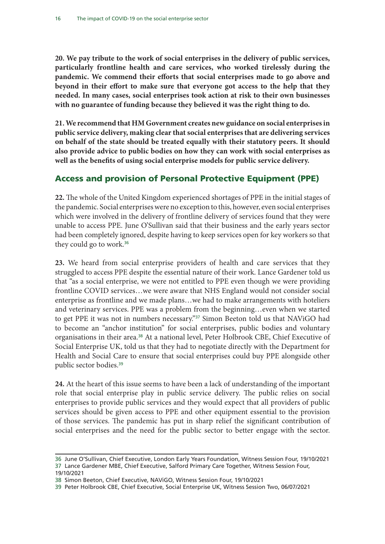**20. We pay tribute to the work of social enterprises in the delivery of public services, particularly frontline health and care services, who worked tirelessly during the pandemic. We commend their efforts that social enterprises made to go above and beyond in their effort to make sure that everyone got access to the help that they needed. In many cases, social enterprises took action at risk to their own businesses with no guarantee of funding because they believed it was the right thing to do.**

**21. We recommend that HM Government creates new guidance on social enterprises in public service delivery, making clear that social enterprises that are delivering services on behalf of the state should be treated equally with their statutory peers. It should also provide advice to public bodies on how they can work with social enterprises as well as the benefits of using social enterprise models for public service delivery.**

### Access and provision of Personal Protective Equipment (PPE)

**22.** The whole of the United Kingdom experienced shortages of PPE in the initial stages of the pandemic. Social enterprises were no exception to this, however, even social enterprises which were involved in the delivery of frontline delivery of services found that they were unable to access PPE. June O'Sullivan said that their business and the early years sector had been completely ignored, despite having to keep services open for key workers so that they could go to work.<sup>36</sup>

**23.** We heard from social enterprise providers of health and care services that they struggled to access PPE despite the essential nature of their work. Lance Gardener told us that "as a social enterprise, we were not entitled to PPE even though we were providing frontline COVID services…we were aware that NHS England would not consider social enterprise as frontline and we made plans…we had to make arrangements with hoteliers and veterinary services. PPE was a problem from the beginning…even when we started to get PPE it was not in numbers necessary."<sup>37</sup> Simon Beeton told us that NAViGO had to become an "anchor institution" for social enterprises, public bodies and voluntary organisations in their area.38 At a national level, Peter Holbrook CBE, Chief Executive of Social Enterprise UK, told us that they had to negotiate directly with the Department for Health and Social Care to ensure that social enterprises could buy PPE alongside other public sector bodies.<sup>39</sup>

**24.** At the heart of this issue seems to have been a lack of understanding of the important role that social enterprise play in public service delivery. The public relies on social enterprises to provide public services and they would expect that all providers of public services should be given access to PPE and other equipment essential to the provision of those services. The pandemic has put in sharp relief the significant contribution of social enterprises and the need for the public sector to better engage with the sector.

<sup>36</sup> June O'Sullivan, Chief Executive, London Early Years Foundation, Witness Session Four, 19/10/2021 37 Lance Gardener MBE, Chief Executive, Salford Primary Care Together, Witness Session Four, 19/10/2021

<sup>38</sup> Simon Beeton, Chief Executive, NAViGO, Witness Session Four, 19/10/2021

<sup>39</sup> Peter Holbrook CBE, Chief Executive, Social Enterprise UK, Witness Session Two, 06/07/2021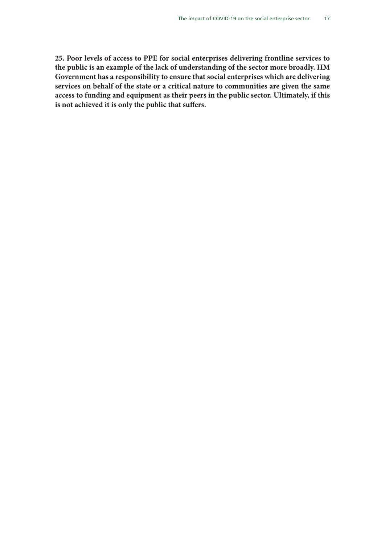**25. Poor levels of access to PPE for social enterprises delivering frontline services to the public is an example of the lack of understanding of the sector more broadly. HM Government has a responsibility to ensure that social enterprises which are delivering services on behalf of the state or a critical nature to communities are given the same access to funding and equipment as their peers in the public sector. Ultimately, if this is not achieved it is only the public that suffers.**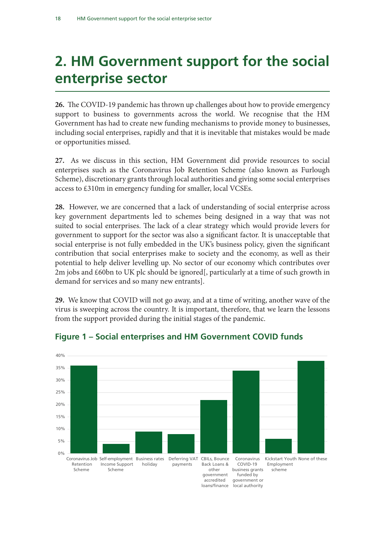### 2. HM Government support for the social enterprise sector

**26.** The COVID-19 pandemic has thrown up challenges about how to provide emergency support to business to governments across the world. We recognise that the HM Government has had to create new funding mechanisms to provide money to businesses, including social enterprises, rapidly and that it is inevitable that mistakes would be made or opportunities missed.

**27.** As we discuss in this section, HM Government did provide resources to social enterprises such as the Coronavirus Job Retention Scheme (also known as Furlough Scheme), discretionary grants through local authorities and giving some social enterprises access to £310m in emergency funding for smaller, local VCSEs.

**28.** However, we are concerned that a lack of understanding of social enterprise across key government departments led to schemes being designed in a way that was not suited to social enterprises. The lack of a clear strategy which would provide levers for government to support for the sector was also a significant factor. It is unacceptable that social enterprise is not fully embedded in the UK's business policy, given the significant contribution that social enterprises make to society and the economy, as well as their potential to help deliver levelling up. No sector of our economy which contributes over 2m jobs and £60bn to UK plc should be ignored[, particularly at a time of such growth in demand for services and so many new entrants].

**29.** We know that COVID will not go away, and at a time of writing, another wave of the virus is sweeping across the country. It is important, therefore, that we learn the lessons from the support provided during the initial stages of the pandemic.



#### Figure 1 – Social enterprises and HM Government COVID funds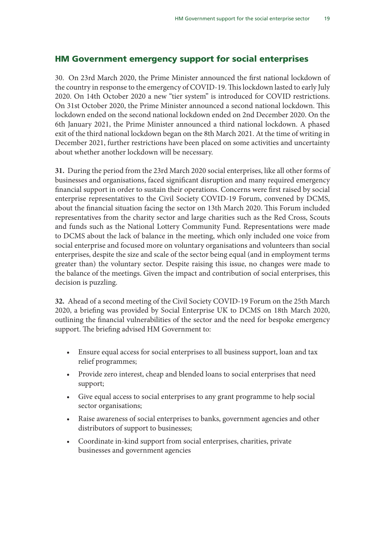### HM Government emergency support for social enterprises

30. On 23rd March 2020, the Prime Minister announced the first national lockdown of the country in response to the emergency of COVID-19. This lockdown lasted to early July 2020. On 14th October 2020 a new "tier system" is introduced for COVID restrictions. On 31st October 2020, the Prime Minister announced a second national lockdown. This lockdown ended on the second national lockdown ended on 2nd December 2020. On the 6th January 2021, the Prime Minister announced a third national lockdown. A phased exit of the third national lockdown began on the 8th March 2021. At the time of writing in December 2021, further restrictions have been placed on some activities and uncertainty about whether another lockdown will be necessary.

**31.** During the period from the 23rd March 2020 social enterprises, like all other forms of businesses and organisations, faced significant disruption and many required emergency financial support in order to sustain their operations. Concerns were first raised by social enterprise representatives to the Civil Society COVID-19 Forum, convened by DCMS, about the financial situation facing the sector on 13th March 2020. This Forum included representatives from the charity sector and large charities such as the Red Cross, Scouts and funds such as the National Lottery Community Fund. Representations were made to DCMS about the lack of balance in the meeting, which only included one voice from social enterprise and focused more on voluntary organisations and volunteers than social enterprises, despite the size and scale of the sector being equal (and in employment terms greater than) the voluntary sector. Despite raising this issue, no changes were made to the balance of the meetings. Given the impact and contribution of social enterprises, this decision is puzzling.

**32.** Ahead of a second meeting of the Civil Society COVID-19 Forum on the 25th March 2020, a briefing was provided by Social Enterprise UK to DCMS on 18th March 2020, outlining the financial vulnerabilities of the sector and the need for bespoke emergency support. The briefing advised HM Government to:

- Ensure equal access for social enterprises to all business support, loan and tax relief programmes;
- Provide zero interest, cheap and blended loans to social enterprises that need support;
- Give equal access to social enterprises to any grant programme to help social sector organisations;
- Raise awareness of social enterprises to banks, government agencies and other distributors of support to businesses;
- Coordinate in-kind support from social enterprises, charities, private businesses and government agencies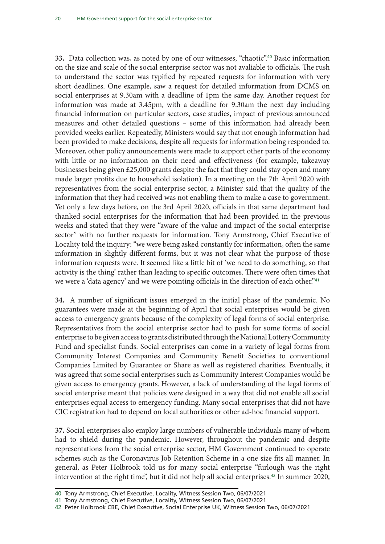**33.** Data collection was, as noted by one of our witnesses, "chaotic".40 Basic information on the size and scale of the social enterprise sector was not avaliable to officials. The rush to understand the sector was typified by repeated requests for information with very short deadlines. One example, saw a request for detailed information from DCMS on social enterprises at 9.30am with a deadline of 1pm the same day. Another request for information was made at 3.45pm, with a deadline for 9.30am the next day including financial information on particular sectors, case studies, impact of previous announced measures and other detailed questions – some of this information had already been provided weeks earlier. Repeatedly, Ministers would say that not enough information had been provided to make decisions, despite all requests for information being responded to. Moreover, other policy announcements were made to support other parts of the economy with little or no information on their need and effectiveness (for example, takeaway businesses being given £25,000 grants despite the fact that they could stay open and many made larger profits due to household isolation). In a meeting on the 7th April 2020 with representatives from the social enterprise sector, a Minister said that the quality of the information that they had received was not enabling them to make a case to government. Yet only a few days before, on the 3rd April 2020, officials in that same department had thanked social enterprises for the information that had been provided in the previous weeks and stated that they were "aware of the value and impact of the social enterprise sector" with no further requests for information. Tony Armstrong, Chief Executive of Locality told the inquiry: "we were being asked constantly for information, often the same information in slightly different forms, but it was not clear what the purpose of those information requests were. It seemed like a little bit of 'we need to do something, so that activity is the thing' rather than leading to specific outcomes. There were often times that we were a 'data agency' and we were pointing officials in the direction of each other."<sup>41</sup>

**34.** A number of significant issues emerged in the initial phase of the pandemic. No guarantees were made at the beginning of April that social enterprises would be given access to emergency grants because of the complexity of legal forms of social enterprise. Representatives from the social enterprise sector had to push for some forms of social enterprise to be given access to grants distributed through the National Lottery Community Fund and specialist funds. Social enterprises can come in a variety of legal forms from Community Interest Companies and Community Benefit Societies to conventional Companies Limited by Guarantee or Share as well as registered charities. Eventually, it was agreed that some social enterprises such as Community Interest Companies would be given access to emergency grants. However, a lack of understanding of the legal forms of social enterprise meant that policies were designed in a way that did not enable all social enterprises equal access to emergency funding. Many social enterprises that did not have CIC registration had to depend on local authorities or other ad-hoc financial support.

**37.** Social enterprises also employ large numbers of vulnerable individuals many of whom had to shield during the pandemic. However, throughout the pandemic and despite representations from the social enterprise sector, HM Government continued to operate schemes such as the Coronavirus Job Retention Scheme in a one size fits all manner. In general, as Peter Holbrook told us for many social enterprise "furlough was the right intervention at the right time", but it did not help all social enterprises.<sup>42</sup> In summer 2020,

<sup>40</sup> Tony Armstrong, Chief Executive, Locality, Witness Session Two, 06/07/2021

<sup>41</sup> Tony Armstrong, Chief Executive, Locality, Witness Session Two, 06/07/2021

<sup>42</sup> Peter Holbrook CBE, Chief Executive, Social Enterprise UK, Witness Session Two, 06/07/2021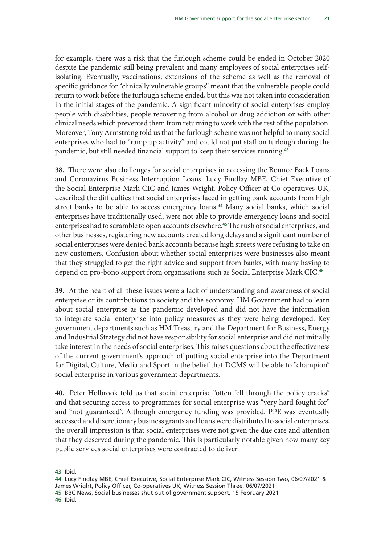for example, there was a risk that the furlough scheme could be ended in October 2020 despite the pandemic still being prevalent and many employees of social enterprises selfisolating. Eventually, vaccinations, extensions of the scheme as well as the removal of specific guidance for "clinically vulnerable groups" meant that the vulnerable people could return to work before the furlough scheme ended, but this was not taken into consideration in the initial stages of the pandemic. A significant minority of social enterprises employ people with disabilities, people recovering from alcohol or drug addiction or with other clinical needs which prevented them from returning to work with the rest of the population. Moreover, Tony Armstrong told us that the furlough scheme was not helpful to many social enterprises who had to "ramp up activity" and could not put staff on furlough during the pandemic, but still needed financial support to keep their services running.<sup>43</sup>

**38.** There were also challenges for social enterprises in accessing the Bounce Back Loans and Coronavirus Business Interruption Loans. Lucy Findlay MBE, Chief Executive of the Social Enterprise Mark CIC and James Wright, Policy Officer at Co-operatives UK, described the difficulties that social enterprises faced in getting bank accounts from high street banks to be able to access emergency loans.<sup>44</sup> Many social banks, which social enterprises have traditionally used, were not able to provide emergency loans and social enterprises had to scramble to open accounts elsewhere.<sup>45</sup> The rush of social enterprises, and other businesses, registering new accounts created long delays and a significant number of social enterprises were denied bank accounts because high streets were refusing to take on new customers. Confusion about whether social enterprises were businesses also meant that they struggled to get the right advice and support from banks, with many having to depend on pro-bono support from organisations such as Social Enterprise Mark CIC.<sup>46</sup>

**39.** At the heart of all these issues were a lack of understanding and awareness of social enterprise or its contributions to society and the economy. HM Government had to learn about social enterprise as the pandemic developed and did not have the information to integrate social enterprise into policy measures as they were being developed. Key government departments such as HM Treasury and the Department for Business, Energy and Industrial Strategy did not have responsibility for social enterprise and did not initially take interest in the needs of social enterprises. This raises questions about the effectiveness of the current government's approach of putting social enterprise into the Department for Digital, Culture, Media and Sport in the belief that DCMS will be able to "champion" social enterprise in various government departments.

**40.** Peter Holbrook told us that social enterprise "often fell through the policy cracks" and that securing access to programmes for social enterprise was "very hard fought for" and "not guaranteed". Although emergency funding was provided, PPE was eventually accessed and discretionary business grants and loans were distributed to social enterprises, the overall impression is that social enterprises were not given the due care and attention that they deserved during the pandemic. This is particularly notable given how many key public services social enterprises were contracted to deliver.

46 Ibid.

<sup>43</sup> Ibid.

<sup>44</sup> Lucy Findlay MBE, Chief Executive, Social Enterprise Mark CIC, Witness Session Two, 06/07/2021 & James Wright, Policy Officer, Co-operatives UK, Witness Session Three, 06/07/2021

<sup>45</sup> BBC News, Social businesses shut out of government support, 15 February 2021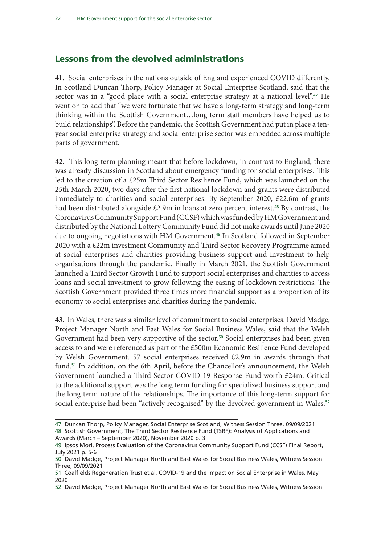#### Lessons from the devolved administrations

**41.** Social enterprises in the nations outside of England experienced COVID differently. In Scotland Duncan Thorp, Policy Manager at Social Enterprise Scotland, said that the sector was in a "good place with a social enterprise strategy at a national level".<sup>47</sup> He went on to add that "we were fortunate that we have a long-term strategy and long-term thinking within the Scottish Government…long term staff members have helped us to build relationships". Before the pandemic, the Scottish Government had put in place a tenyear social enterprise strategy and social enterprise sector was embedded across multiple parts of government.

**42.** This long-term planning meant that before lockdown, in contrast to England, there was already discussion in Scotland about emergency funding for social enterprises. This led to the creation of a £25m Third Sector Resilience Fund, which was launched on the 25th March 2020, two days after the first national lockdown and grants were distributed immediately to charities and social enterprises. By September 2020, £22.6m of grants had been distributed alongside £2.9m in loans at zero percent interest.<sup>48</sup> By contrast, the Coronavirus Community Support Fund (CCSF) which was funded by HM Government and distributed by the National Lottery Community Fund did not make awards until June 2020 due to ongoing negotiations with HM Government.<sup>49</sup> In Scotland followed in September 2020 with a £22m investment Community and Third Sector Recovery Programme aimed at social enterprises and charities providing business support and investment to help organisations through the pandemic. Finally in March 2021, the Scottish Government launched a Third Sector Growth Fund to support social enterprises and charities to access loans and social investment to grow following the easing of lockdown restrictions. The Scottish Government provided three times more financial support as a proportion of its economy to social enterprises and charities during the pandemic.

**43.** In Wales, there was a similar level of commitment to social enterprises. David Madge, Project Manager North and East Wales for Social Business Wales, said that the Welsh Government had been very supportive of the sector.<sup>50</sup> Social enterprises had been given access to and were referenced as part of the £500m Economic Resilience Fund developed by Welsh Government. 57 social enterprises received £2.9m in awards through that fund.<sup>51</sup> In addition, on the 6th April, before the Chancellor's announcement, the Welsh Government launched a Third Sector COVID-19 Response Fund worth £24m. Critical to the additional support was the long term funding for specialized business support and the long term nature of the relationships. The importance of this long-term support for social enterprise had been "actively recognised" by the devolved government in Wales.<sup>52</sup>

<sup>47</sup> Duncan Thorp, Policy Manager, Social Enterprise Scotland, Witness Session Three, 09/09/2021 48 Scottish Government, The Third Sector Resilience Fund (TSRF): Analysis of Applications and Awards (March – September 2020), November 2020 p. 3

<sup>49</sup> Ipsos Mori, Process Evaluation of the Coronavirus Community Support Fund (CCSF) Final Report, July 2021 p. 5-6

<sup>50</sup> David Madge, Project Manager North and East Wales for Social Business Wales, Witness Session Three, 09/09/2021

<sup>51</sup> Coalfields Regeneration Trust et al, COVID-19 and the Impact on Social Enterprise in Wales, May 2020

<sup>52</sup> David Madge, Project Manager North and East Wales for Social Business Wales, Witness Session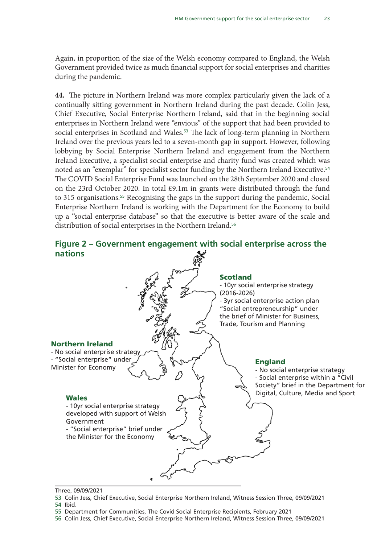Again, in proportion of the size of the Welsh economy compared to England, the Welsh Government provided twice as much financial support for social enterprises and charities during the pandemic.

**44.** The picture in Northern Ireland was more complex particularly given the lack of a continually sitting government in Northern Ireland during the past decade. Colin Jess, Chief Executive, Social Enterprise Northern Ireland, said that in the beginning social enterprises in Northern Ireland were "envious" of the support that had been provided to social enterprises in Scotland and Wales.<sup>53</sup> The lack of long-term planning in Northern Ireland over the previous years led to a seven-month gap in support. However, following lobbying by Social Enterprise Northern Ireland and engagement from the Northern Ireland Executive, a specialist social enterprise and charity fund was created which was noted as an "exemplar" for specialist sector funding by the Northern Ireland Executive.<sup>54</sup> The COVID Social Enterprise Fund was launched on the 28th September 2020 and closed on the 23rd October 2020. In total £9.1m in grants were distributed through the fund to 315 organisations.<sup>55</sup> Recognising the gaps in the support during the pandemic, Social Enterprise Northern Ireland is working with the Department for the Economy to build up a "social enterprise database" so that the executive is better aware of the scale and distribution of social enterprises in the Northern Ireland.<sup>56</sup>



Three, 09/09/2021

<sup>53</sup> Colin Jess, Chief Executive, Social Enterprise Northern Ireland, Witness Session Three, 09/09/2021 54 Ibid.

<sup>55</sup> Department for Communities, The Covid Social Enterprise Recipients, February 2021

<sup>56</sup> Colin Jess, Chief Executive, Social Enterprise Northern Ireland, Witness Session Three, 09/09/2021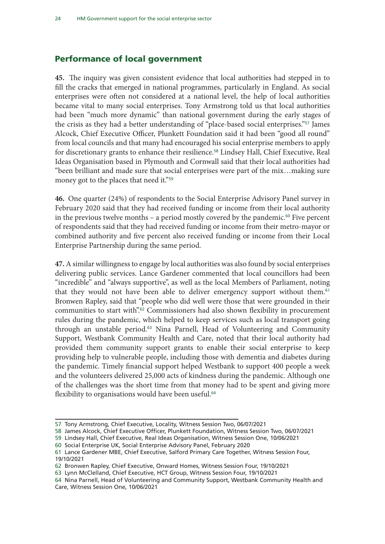#### Performance of local government

**45.** The inquiry was given consistent evidence that local authorities had stepped in to fill the cracks that emerged in national programmes, particularly in England. As social enterprises were often not considered at a national level, the help of local authorities became vital to many social enterprises. Tony Armstrong told us that local authorities had been "much more dynamic" than national government during the early stages of the crisis as they had a better understanding of "place-based social enterprises."57 James Alcock, Chief Executive Officer, Plunkett Foundation said it had been "good all round" from local councils and that many had encouraged his social enterprise members to apply for discretionary grants to enhance their resilience.<sup>58</sup> Lindsey Hall, Chief Executive, Real Ideas Organisation based in Plymouth and Cornwall said that their local authorities had "been brilliant and made sure that social enterprises were part of the mix…making sure money got to the places that need it."<sup>59</sup>

**46.** One quarter (24%) of respondents to the Social Enterprise Advisory Panel survey in February 2020 said that they had received funding or income from their local authority in the previous twelve months – a period mostly covered by the pandemic.<sup>60</sup> Five percent of respondents said that they had received funding or income from their metro-mayor or combined authority and five percent also received funding or income from their Local Enterprise Partnership during the same period.

**47.** A similar willingness to engage by local authorities was also found by social enterprises delivering public services. Lance Gardener commented that local councillors had been "incredible" and "always supportive", as well as the local Members of Parliament, noting that they would not have been able to deliver emergency support without them.<sup>61</sup> Bronwen Rapley, said that "people who did well were those that were grounded in their communities to start with".<sup>62</sup> Commissioners had also shown flexibility in procurement rules during the pandemic, which helped to keep services such as local transport going through an unstable period.<sup>63</sup> Nina Parnell, Head of Volunteering and Community Support, Westbank Community Health and Care, noted that their local authority had provided them community support grants to enable their social enterprise to keep providing help to vulnerable people, including those with dementia and diabetes during the pandemic. Timely financial support helped Westbank to support 400 people a week and the volunteers delivered 25,000 acts of kindness during the pandemic. Although one of the challenges was the short time from that money had to be spent and giving more flexibility to organisations would have been useful.<sup>64</sup>

59 Lindsey Hall, Chief Executive, Real Ideas Organisation, Witness Session One, 10/06/2021

61 Lance Gardener MBE, Chief Executive, Salford Primary Care Together, Witness Session Four, 19/10/2021

<sup>57</sup> Tony Armstrong, Chief Executive, Locality, Witness Session Two, 06/07/2021

<sup>58</sup> James Alcock, Chief Executive Officer, Plunkett Foundation, Witness Session Two, 06/07/2021

<sup>60</sup> Social Enterprise UK, Social Enterprise Advisory Panel, February 2020

<sup>62</sup> Bronwen Rapley, Chief Executive, Onward Homes, Witness Session Four, 19/10/2021

<sup>63</sup> Lynn McClelland, Chief Executive, HCT Group, Witness Session Four, 19/10/2021

<sup>64</sup> Nina Parnell, Head of Volunteering and Community Support, Westbank Community Health and Care, Witness Session One, 10/06/2021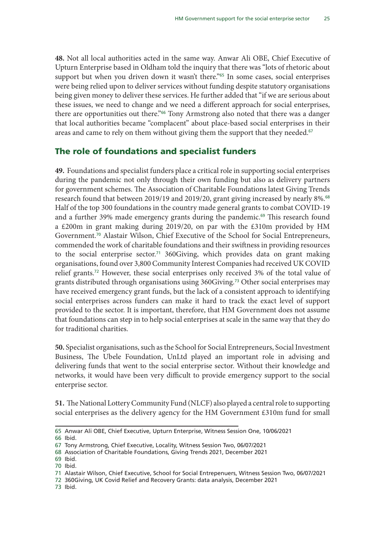**48.** Not all local authorities acted in the same way. Anwar Ali OBE, Chief Executive of Upturn Enterprise based in Oldham told the inquiry that there was "lots of rhetoric about support but when you driven down it wasn't there."<sup>65</sup> In some cases, social enterprises were being relied upon to deliver services without funding despite statutory organisations being given money to deliver these services. He further added that "if we are serious about these issues, we need to change and we need a different approach for social enterprises, there are opportunities out there."<sup>66</sup> Tony Armstrong also noted that there was a danger that local authorities became "complacent" about place-based social enterprises in their areas and came to rely on them without giving them the support that they needed.<sup>67</sup>

### The role of foundations and specialist funders

**49.** Foundations and specialist funders place a critical role in supporting social enterprises during the pandemic not only through their own funding but also as delivery partners for government schemes. The Association of Charitable Foundations latest Giving Trends research found that between 2019/19 and 2019/20, grant giving increased by nearly 8%.<sup>68</sup> Half of the top 300 foundations in the country made general grants to combat COVID-19 and a further 39% made emergency grants during the pandemic.<sup>69</sup> This research found a £200m in grant making during 2019/20, on par with the £310m provided by HM Government.70 Alastair Wilson, Chief Executive of the School for Social Entrepreneurs, commended the work of charitable foundations and their swiftness in providing resources to the social enterprise sector.<sup>71</sup> 360Giving, which provides data on grant making organisations, found over 3,800 Community Interest Companies had received UK COVID relief grants.72 However, these social enterprises only received 3% of the total value of grants distributed through organisations using 360Giving.73 Other social enterprises may have received emergency grant funds, but the lack of a consistent approach to identifying social enterprises across funders can make it hard to track the exact level of support provided to the sector. It is important, therefore, that HM Government does not assume that foundations can step in to help social enterprises at scale in the same way that they do for traditional charities.

**50.** Specialist organisations, such as the School for Social Entrepreneurs, Social Investment Business, The Ubele Foundation, UnLtd played an important role in advising and delivering funds that went to the social enterprise sector. Without their knowledge and networks, it would have been very difficult to provide emergency support to the social enterprise sector.

**51.** The National Lottery Community Fund (NLCF) also played a central role to supporting social enterprises as the delivery agency for the HM Government £310m fund for small

66 Ibid.

72 360Giving, UK Covid Relief and Recovery Grants: data analysis, December 2021

<sup>65</sup> Anwar Ali OBE, Chief Executive, Upturn Enterprise, Witness Session One, 10/06/2021

<sup>67</sup> Tony Armstrong, Chief Executive, Locality, Witness Session Two, 06/07/2021

<sup>68</sup> Association of Charitable Foundations, Giving Trends 2021, December 2021

<sup>69</sup> Ibid.

<sup>70</sup> Ibid.

<sup>71</sup> Alastair Wilson, Chief Executive, School for Social Entrepenuers, Witness Session Two, 06/07/2021

<sup>73</sup> Ibid.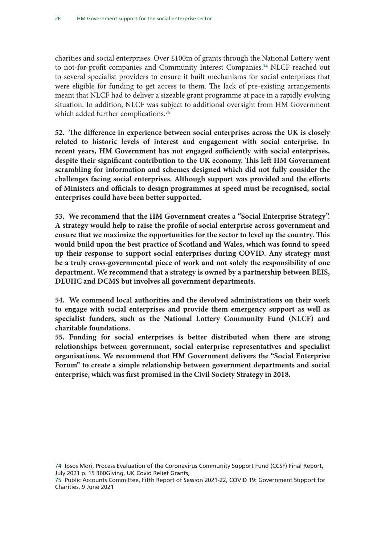charities and social enterprises. Over £100m of grants through the National Lottery went to not-for-profit companies and Community Interest Companies.<sup>74</sup> NLCF reached out to several specialist providers to ensure it built mechanisms for social enterprises that were eligible for funding to get access to them. The lack of pre-existing arrangements meant that NLCF had to deliver a sizeable grant programme at pace in a rapidly evolving situation. In addition, NLCF was subject to additional oversight from HM Government which added further complications.<sup>75</sup>

**52. The difference in experience between social enterprises across the UK is closely related to historic levels of interest and engagement with social enterprise. In recent years, HM Government has not engaged sufficiently with social enterprises, despite their significant contribution to the UK economy. This left HM Government scrambling for information and schemes designed which did not fully consider the challenges facing social enterprises. Although support was provided and the efforts of Ministers and officials to design programmes at speed must be recognised, social enterprises could have been better supported.** 

**53. We recommend that the HM Government creates a "Social Enterprise Strategy". A strategy would help to raise the profile of social enterprise across government and ensure that we maximize the opportunities for the sector to level up the country. This would build upon the best practice of Scotland and Wales, which was found to speed up their response to support social enterprises during COVID. Any strategy must be a truly cross-governmental piece of work and not solely the responsibility of one department. We recommend that a strategy is owned by a partnership between BEIS, DLUHC and DCMS but involves all government departments.** 

**54. We commend local authorities and the devolved administrations on their work to engage with social enterprises and provide them emergency support as well as specialist funders, such as the National Lottery Community Fund (NLCF) and charitable foundations.** 

**55. Funding for social enterprises is better distributed when there are strong relationships between government, social enterprise representatives and specialist organisations. We recommend that HM Government delivers the "Social Enterprise Forum" to create a simple relationship between government departments and social enterprise, which was first promised in the Civil Society Strategy in 2018.** 

<sup>74</sup> Ipsos Mori, Process Evaluation of the Coronavirus Community Support Fund (CCSF) Final Report, July 2021 p. 15 360Giving, UK Covid Relief Grants,

<sup>75</sup> Public Accounts Committee, Fifth Report of Session 2021-22, COVID 19: Government Support for Charities, 9 June 2021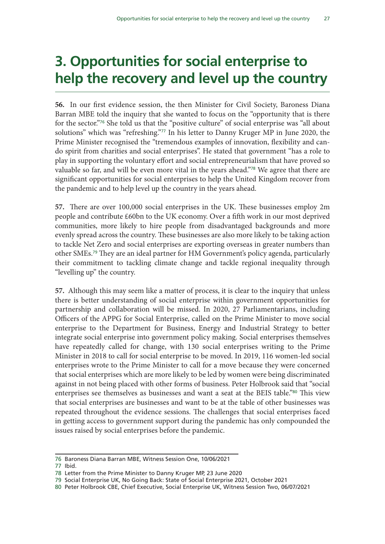# 3. Opportunities for social enterprise to help the recovery and level up the country

**56.** In our first evidence session, the then Minister for Civil Society, Baroness Diana Barran MBE told the inquiry that she wanted to focus on the "opportunity that is there for the sector."76 She told us that the "positive culture" of social enterprise was "all about solutions" which was "refreshing."<sup>77</sup> In his letter to Danny Kruger MP in June 2020, the Prime Minister recognised the "tremendous examples of innovation, flexibility and cando spirit from charities and social enterprises". He stated that government "has a role to play in supporting the voluntary effort and social entrepreneurialism that have proved so valuable so far, and will be even more vital in the years ahead."78 We agree that there are significant opportunities for social enterprises to help the United Kingdom recover from the pandemic and to help level up the country in the years ahead.

**57.** There are over 100,000 social enterprises in the UK. These businesses employ 2m people and contribute £60bn to the UK economy. Over a fifth work in our most deprived communities, more likely to hire people from disadvantaged backgrounds and more evenly spread across the country. These businesses are also more likely to be taking action to tackle Net Zero and social enterprises are exporting overseas in greater numbers than other SMEs.79 They are an ideal partner for HM Government's policy agenda, particularly their commitment to tackling climate change and tackle regional inequality through "levelling up" the country.

**57.** Although this may seem like a matter of process, it is clear to the inquiry that unless there is better understanding of social enterprise within government opportunities for partnership and collaboration will be missed. In 2020, 27 Parliamentarians, including Officers of the APPG for Social Enterprise, called on the Prime Minister to move social enterprise to the Department for Business, Energy and Industrial Strategy to better integrate social enterprise into government policy making. Social enterprises themselves have repeatedly called for change, with 130 social enterprises writing to the Prime Minister in 2018 to call for social enterprise to be moved. In 2019, 116 women-led social enterprises wrote to the Prime Minister to call for a move because they were concerned that social enterprises which are more likely to be led by women were being discriminated against in not being placed with other forms of business. Peter Holbrook said that "social enterprises see themselves as businesses and want a seat at the BEIS table."80 This view that social enterprises are businesses and want to be at the table of other businesses was repeated throughout the evidence sessions. The challenges that social enterprises faced in getting access to government support during the pandemic has only compounded the issues raised by social enterprises before the pandemic.

<sup>76</sup> Baroness Diana Barran MBE, Witness Session One, 10/06/2021

<sup>77</sup> Ibid.

<sup>78</sup> Letter from the Prime Minister to Danny Kruger MP, 23 June 2020

<sup>79</sup> Social Enterprise UK, No Going Back: State of Social Enterprise 2021, October 2021

<sup>80</sup> Peter Holbrook CBE, Chief Executive, Social Enterprise UK, Witness Session Two, 06/07/2021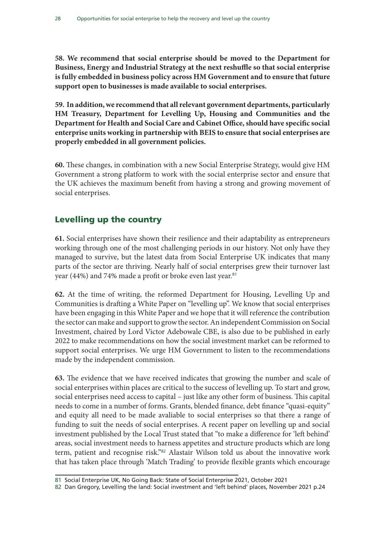**58. We recommend that social enterprise should be moved to the Department for Business, Energy and Industrial Strategy at the next reshuffle so that social enterprise is fully embedded in business policy across HM Government and to ensure that future support open to businesses is made available to social enterprises.**

**59. In addition, we recommend that all relevant government departments, particularly HM Treasury, Department for Levelling Up, Housing and Communities and the Department for Health and Social Care and Cabinet Office, should have specific social enterprise units working in partnership with BEIS to ensure that social enterprises are properly embedded in all government policies.** 

**60.** These changes, in combination with a new Social Enterprise Strategy, would give HM Government a strong platform to work with the social enterprise sector and ensure that the UK achieves the maximum benefit from having a strong and growing movement of social enterprises.

### Levelling up the country

**61.** Social enterprises have shown their resilience and their adaptability as entrepreneurs working through one of the most challenging periods in our history. Not only have they managed to survive, but the latest data from Social Enterprise UK indicates that many parts of the sector are thriving. Nearly half of social enterprises grew their turnover last year (44%) and 74% made a profit or broke even last year.<sup>81</sup>

**62.** At the time of writing, the reformed Department for Housing, Levelling Up and Communities is drafting a White Paper on "levelling up". We know that social enterprises have been engaging in this White Paper and we hope that it will reference the contribution the sector can make and support to grow the sector. An independent Commission on Social Investment, chaired by Lord Victor Adebowale CBE, is also due to be published in early 2022 to make recommendations on how the social investment market can be reformed to support social enterprises. We urge HM Government to listen to the recommendations made by the independent commission.

**63.** The evidence that we have received indicates that growing the number and scale of social enterprises within places are critical to the success of levelling up. To start and grow, social enterprises need access to capital – just like any other form of business. This capital needs to come in a number of forms. Grants, blended finance, debt finance "quasi-equity" and equity all need to be made avaliable to social enterprises so that there a range of funding to suit the needs of social enterprises. A recent paper on levelling up and social investment published by the Local Trust stated that "to make a difference for 'left behind' areas, social investment needs to harness appetites and structure products which are long term, patient and recognise risk."<sup>82</sup> Alastair Wilson told us about the innovative work that has taken place through 'Match Trading' to provide flexible grants which encourage

<sup>81</sup> Social Enterprise UK, No Going Back: State of Social Enterprise 2021, October 2021

<sup>82</sup> Dan Gregory, Levelling the land: Social investment and 'left behind' places, November 2021 p.24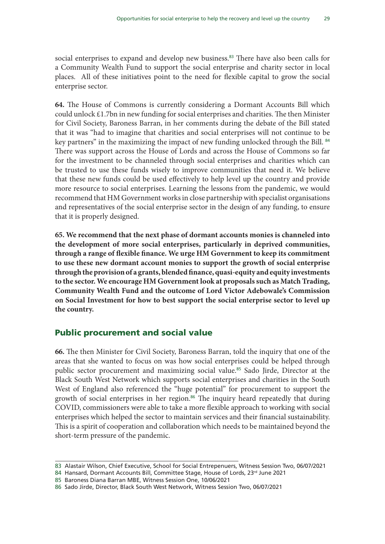social enterprises to expand and develop new business.<sup>83</sup> There have also been calls for a Community Wealth Fund to support the social enterprise and charity sector in local places. All of these initiatives point to the need for flexible capital to grow the social enterprise sector.

**64.** The House of Commons is currently considering a Dormant Accounts Bill which could unlock £1.7bn in new funding for social enterprises and charities. The then Minister for Civil Society, Baroness Barran, in her comments during the debate of the Bill stated that it was "had to imagine that charities and social enterprises will not continue to be key partners" in the maximizing the impact of new funding unlocked through the Bill. <sup>84</sup> There was support across the House of Lords and across the House of Commons so far for the investment to be channeled through social enterprises and charities which can be trusted to use these funds wisely to improve communities that need it. We believe that these new funds could be used effectively to help level up the country and provide more resource to social enterprises. Learning the lessons from the pandemic, we would recommend that HM Government works in close partnership with specialist organisations and representatives of the social enterprise sector in the design of any funding, to ensure that it is properly designed.

**65. We recommend that the next phase of dormant accounts monies is channeled into the development of more social enterprises, particularly in deprived communities, through a range of flexible finance. We urge HM Government to keep its commitment to use these new dormant account monies to support the growth of social enterprise through the provision of a grants, blended finance, quasi-equity and equity investments to the sector. We encourage HM Government look at proposals such as Match Trading, Community Wealth Fund and the outcome of Lord Victor Adebowale's Commission on Social Investment for how to best support the social enterprise sector to level up the country.** 

#### Public procurement and social value

**66.** The then Minister for Civil Society, Baroness Barran, told the inquiry that one of the areas that she wanted to focus on was how social enterprises could be helped through public sector procurement and maximizing social value.<sup>85</sup> Sado Jirde, Director at the Black South West Network which supports social enterprises and charities in the South West of England also referenced the "huge potential" for procurement to support the growth of social enterprises in her region.<sup>86</sup> The inquiry heard repeatedly that during COVID, commissioners were able to take a more flexible approach to working with social enterprises which helped the sector to maintain services and their financial sustainability. This is a spirit of cooperation and collaboration which needs to be maintained beyond the short-term pressure of the pandemic.

<sup>83</sup> Alastair Wilson, Chief Executive, School for Social Entrepenuers, Witness Session Two, 06/07/2021

<sup>84</sup> Hansard, Dormant Accounts Bill, Committee Stage, House of Lords, 23rd June 2021

<sup>85</sup> Baroness Diana Barran MBE, Witness Session One, 10/06/2021

<sup>86</sup> Sado Jirde, Director, Black South West Network, Witness Session Two, 06/07/2021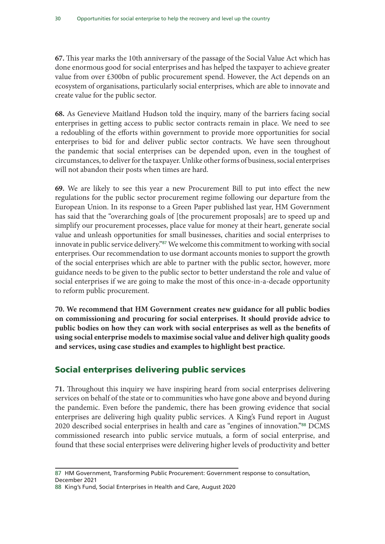**67.** This year marks the 10th anniversary of the passage of the Social Value Act which has done enormous good for social enterprises and has helped the taxpayer to achieve greater value from over £300bn of public procurement spend. However, the Act depends on an ecosystem of organisations, particularly social enterprises, which are able to innovate and create value for the public sector.

**68.** As Genevieve Maitland Hudson told the inquiry, many of the barriers facing social enterprises in getting access to public sector contracts remain in place. We need to see a redoubling of the efforts within government to provide more opportunities for social enterprises to bid for and deliver public sector contracts. We have seen throughout the pandemic that social enterprises can be depended upon, even in the toughest of circumstances, to deliver for the taxpayer. Unlike other forms of business, social enterprises will not abandon their posts when times are hard.

**69.** We are likely to see this year a new Procurement Bill to put into effect the new regulations for the public sector procurement regime following our departure from the European Union. In its response to a Green Paper published last year, HM Government has said that the "overarching goals of [the procurement proposals] are to speed up and simplify our procurement processes, place value for money at their heart, generate social value and unleash opportunities for small businesses, charities and social enterprises to innovate in public service delivery."<sup>87</sup> We welcome this commitment to working with social enterprises. Our recommendation to use dormant accounts monies to support the growth of the social enterprises which are able to partner with the public sector, however, more guidance needs to be given to the public sector to better understand the role and value of social enterprises if we are going to make the most of this once-in-a-decade opportunity to reform public procurement.

**70. We recommend that HM Government creates new guidance for all public bodies on commissioning and procuring for social enterprises. It should provide advice to public bodies on how they can work with social enterprises as well as the benefits of using social enterprise models to maximise social value and deliver high quality goods and services, using case studies and examples to highlight best practice.**

### Social enterprises delivering public services

**71.** Throughout this inquiry we have inspiring heard from social enterprises delivering services on behalf of the state or to communities who have gone above and beyond during the pandemic. Even before the pandemic, there has been growing evidence that social enterprises are delivering high quality public services. A King's Fund report in August 2020 described social enterprises in health and care as "engines of innovation."88 DCMS commissioned research into public service mutuals, a form of social enterprise, and found that these social enterprises were delivering higher levels of productivity and better

<sup>87</sup> HM Government, Transforming Public Procurement: Government response to consultation, December 2021

<sup>88</sup> King's Fund, Social Enterprises in Health and Care, August 2020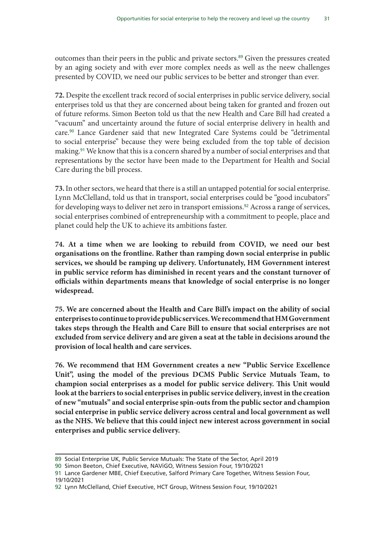outcomes than their peers in the public and private sectors.<sup>89</sup> Given the pressures created by an aging society and with ever more complex needs as well as the neew challenges presented by COVID, we need our public services to be better and stronger than ever.

**72.** Despite the excellent track record of social enterprises in public service delivery, social enterprises told us that they are concerned about being taken for granted and frozen out of future reforms. Simon Beeton told us that the new Health and Care Bill had created a "vacuum" and uncertainty around the future of social enterprise delivery in health and care.90 Lance Gardener said that new Integrated Care Systems could be "detrimental to social enterprise" because they were being excluded from the top table of decision making.91 We know that this is a concern shared by a number of social enterprises and that representations by the sector have been made to the Department for Health and Social Care during the bill process.

**73.** In other sectors, we heard that there is a still an untapped potential for social enterprise. Lynn McClelland, told us that in transport, social enterprises could be "good incubators" for developing ways to deliver net zero in transport emissions.<sup>92</sup> Across a range of services, social enterprises combined of entrepreneurship with a commitment to people, place and planet could help the UK to achieve its ambitions faster.

**74. At a time when we are looking to rebuild from COVID, we need our best organisations on the frontline. Rather than ramping down social enterprise in public services, we should be ramping up delivery. Unfortunately, HM Government interest in public service reform has diminished in recent years and the constant turnover of officials within departments means that knowledge of social enterprise is no longer widespread.** 

**75. We are concerned about the Health and Care Bill's impact on the ability of social enterprises to continue to provide public services. We recommend that HM Government takes steps through the Health and Care Bill to ensure that social enterprises are not excluded from service delivery and are given a seat at the table in decisions around the provision of local health and care services.** 

**76. We recommend that HM Government creates a new "Public Service Excellence Unit", using the model of the previous DCMS Public Service Mutuals Team, to champion social enterprises as a model for public service delivery. This Unit would look at the barriers to social enterprises in public service delivery, invest in the creation of new "mutuals" and social enterprise spin-outs from the public sector and champion social enterprise in public service delivery across central and local government as well as the NHS. We believe that this could inject new interest across government in social enterprises and public service delivery.** 

<sup>89</sup> Social Enterprise UK, Public Service Mutuals: The State of the Sector, April 2019

<sup>90</sup> Simon Beeton, Chief Executive, NAViGO, Witness Session Four, 19/10/2021

<sup>91</sup> Lance Gardener MBE, Chief Executive, Salford Primary Care Together, Witness Session Four, 19/10/2021

<sup>92</sup> Lynn McClelland, Chief Executive, HCT Group, Witness Session Four, 19/10/2021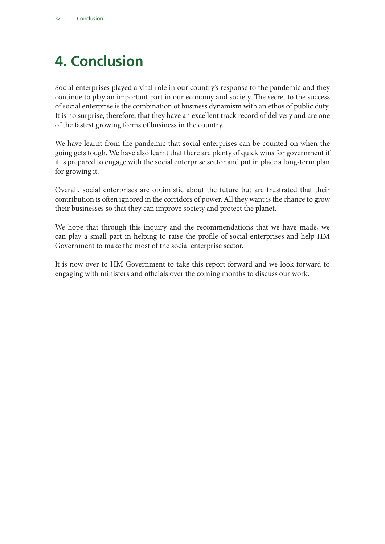# 4. Conclusion

Social enterprises played a vital role in our country's response to the pandemic and they continue to play an important part in our economy and society. The secret to the success of social enterprise is the combination of business dynamism with an ethos of public duty. It is no surprise, therefore, that they have an excellent track record of delivery and are one of the fastest growing forms of business in the country.

We have learnt from the pandemic that social enterprises can be counted on when the going gets tough. We have also learnt that there are plenty of quick wins for government if it is prepared to engage with the social enterprise sector and put in place a long-term plan for growing it.

Overall, social enterprises are optimistic about the future but are frustrated that their contribution is often ignored in the corridors of power. All they want is the chance to grow their businesses so that they can improve society and protect the planet.

We hope that through this inquiry and the recommendations that we have made, we can play a small part in helping to raise the profile of social enterprises and help HM Government to make the most of the social enterprise sector.

It is now over to HM Government to take this report forward and we look forward to engaging with ministers and officials over the coming months to discuss our work.